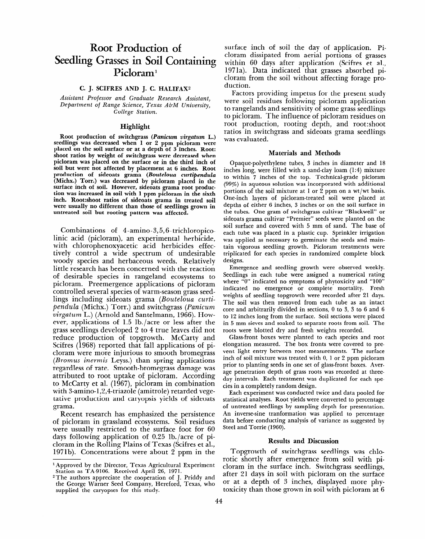# **Root Production of Seedling Grasses in Soil Containing Picloraml**

## **C. J. SCIFRES AND J. C. HALIFAX2**

*Assistant* Professor and *Graduate Research Assistant, Department* of *Range Science, Texas A&M University, College Station.* 

### **Highlight**

**Root production of switchgrass (Panicum virgatum L.) seedlings was decreased when 1 or** *2* **ppm picloram were placed on the soil surface or at a depth of** *3* **inches. Root: shoot ratios by weight of switchgrass were decreased when picloram was placed on the surface or in the third inch of soil but were not affected by placement at** *6* **inches. Root production of sideoats grama** *(Bouteloua curtipendula*  **(Michx.) Torr.) was decreased by picloram placed in the surface inch of soil. However, sideoats grama root production was increased in soil with 1 ppm picloram in the sixth inch. Root:shoot ratios of sideoats grama in treated soil were usually no different than those of seedlings grown in untreated soil but rooting pattern was affected.** 

Combinations of 4-amino-3,5,6- trichloropicolinic acid (picloram), an experimental herbicide, with chlorophenoxyacetic acid herbicides effectively control a wide spectrum of undesirable woody species and herbaceous weeds. Relatively little research has been concerned with the reaction of desirable species in rangeland ecosystems to picloram. Preemergence applications of picloram controlled several species of warm-season grass seedlings including sideoats grama *(Bouteloua curti pendula (Michx.) Torr.) and switchgrass <i>(Panicum*) *virgatum* L.) (Arnold and Santelmann, 1966). However, applications of 1.5 lb./acre or less after the grass seedlings developed 2 to 4 true leaves did not reduce production of topgrowth. McCarty and Scifres (1968) reported that fall applications of piclores (1900) reported that has appreated by p *(Bromus inermis* Leyss.) than spring applications promus mermis regist, than spring appreations regardless of rate. Smooth-bromegrass damage was attributed to root uptake of picloram. According to McCarty et al. (1967), picloram in combination w medarty et al.  $(1507)$ , pictorum in combination with 3-amino-1,2,4-triazole (amitrole) retarded vegetative production and caryopsis yields of sideoats grama. ama.<br>Recent research has experienced the persistence of the persistence of the persistence of the persistence of th

of persistem research has emphasized the persistems. of picloram in grassland ecosystems. Soil residues were usually restricted to the surface foot for  $60$ . days following application of  $0.25$  lb./acre of picloram in the Rolling Plains of Texas (Scifres et al.,<br>1971b). Concentrations were about 2 ppm in the surface inch of soil the day of application. **Pi**cloram dissipated from aerial portions of grasses within 60 days after application (Scifres et al., 1971a). Data indicated that grasses absorbed picloram from the soil without affecting forage production.

Factors providing impetus for the present study were soil residues following picloram application to rangelands and sensitivity of some grass seedlings to picloram. The influence of picloram residues on root production, rooting depth, and root:shoot ratios in switchgrass and sideoats grama seedlings was evaluated.

#### **Materials and Methods**

Opaque-polyethylene tubes, 3 inches in diameter and 18 inches long, were filled with a sand-clay loam (1:4) mixture to within 7 inches of the top. Technical-grade picloram (99%) in aqueous solution was incorporated with additional portions of the soil mixture at 1 or 2 ppm on a wt/wt basis. One-inch layers of picloram-treated soil were placed at depths of either 6 inches, 3 inches or on the soil surface in the tubes. One gram of switchgrass cultivar "Blackwell" or sideoats grama cultivar "Premier" seeds were planted on the soil surface and covered with 5 mm of sand. The base of each tube was placed in a plastic cup. Sprinkler irrigation was applied as necessary to germinate the seeds and maintain vigorous seedling growth. Picloram treatments were triplicated for each species in randomized complete block designs.

Emergence and seedling growth were observed weekly. Seedlings in each tube were assigned a numerical rating where "0" indicated no symptoms of phytoxicity and "100" indicated no emergence or complete mortality. Fresh marculeus no emergence of complete mortuney. These The soil was then removed from each tube as an intact and soil was their removed from each table as an intact to 12 inches long from the surface. Soil sections were placed to 12 inches long from the surface. Soil sections were placed in 5 mm sieves and soaked to separate roots from soil. The roots were blotted dry and fresh weights recorded.

Glass-front boxes were planted to each species and root elongation measured. The box fronts were covered to prevent light entry between root measurements. The surface inch of soil mixture was treated with  $0, 1$  or 2 ppm picloram prior to planting seeds in one set of glass-front boxes. Average penetration depth of grass roots was recorded at threeday intervals. Each treatment was duplicated for each species in a completely random design.

Each experiment was conducted twice and data pooled for statistical analyses. Root yields were converted to percentage of untreated seedlings by sampling depth for presentation. An inverse-sine tranformation was applied to percentage data before conducting analysis of variance as suggested by Steel and Torrie (1960).

# **Results and Discussion**

 $T$ opgrowth of switchgrass seedlings was challenged was challenged was challenged was challenged was challenged was ch ropgrowth of switchgrass seedlings was chiorotic shortly after emergence from soil with picloram in the surface inch. Switchgrass seedlings, after 21 days in soil with picloram on the surface or at a depth of  $\beta$  inches, displayed more phytoxicity than those grown in soil with picloram at 6

l Approved by the Director, Texas Agricultural Experiment Approved by the Director, Texas Agricultural Station as TA-9106. Received April 26, 1971.

 $2$  The authors appreciate the cooperation of J. Priddy and the George Warner Seed Company, Hereford, Texas, who supplied the caryopses for this study.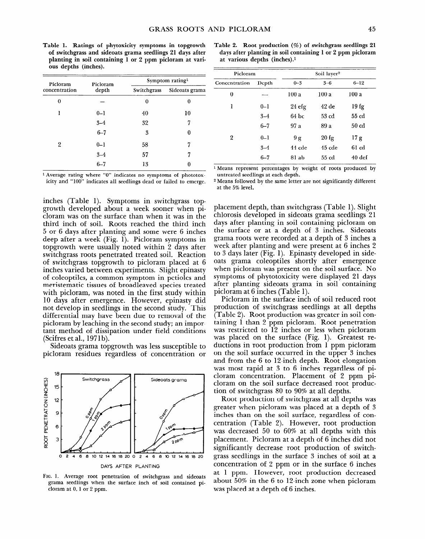**Table 1. Ratings of phytoxicity symptoms in topgrowth of switchgrass and sideoats grama seedlings 21 days after planting in soil containing 1 or 2 ppm picloram at various depths (inches).** 

| Picloram<br>concentration | Picloram | Symptom rating <sup>1</sup> |                |  |
|---------------------------|----------|-----------------------------|----------------|--|
|                           | depth    | Switchgrass                 | Sideoats grama |  |
| 0                         |          | 0                           | 0              |  |
| ı                         | $0 - 1$  | 40                          | 10             |  |
|                           | $3 - 4$  | 32                          | 7              |  |
|                           | $6 - 7$  | 3                           | 0              |  |
| 2                         | $0 - 1$  | 58                          | 7              |  |
|                           | $3 - 4$  | 57                          | 7              |  |
|                           | $6 - 7$  | 13                          | O              |  |
|                           |          |                             |                |  |

**1 Average rating where "0" indicates no symptoms of phototoxicity and "100" indicates all seedlings dead or failed to emerge.** 

inches (Table 1). Symptoms in switchgrass topgrowth developed about a week sooner when picloram was on the surface than when it was in the third inch of soil. Roots reached the third inch 5 or 6 days after planting and some were 6 inches deep after a week (Fig. 1). Picloram symptoms in topgrowth were usually noted within 2 days after switchgrass roots penetrated treated soil. Reaction of switchgrass topgrowth to picloram placed at 6 inches varied between experiments. Slight epinasty of coleoptiles, a common symptom in petioles and meristematic tissues of broadleaved species treated with picloram, was noted in the first study within 10 days after emergence. However, epinasty did not develop in seedlings in the second study. This differential may have been due to removal of the picloram by leaching in the second study; an important method of dissipation under field conditions  $(Scifres et al., 1971b).$  $\mathcal{S}$ :  $\mathcal{S}$  at  $\mathcal{S}$  at  $\mathcal{S}$  susceptible to  $\mathcal{S}$  susceptible to  $\mathcal{S}$ 

picloram residues regardless of concentration or



FIG. 1. Average root penetration of switchgrass and sideoats grama seedlings when the surface inch of soil contained picloram at 0, 1 or 2 ppm.

**Table 2. Root production (%) of switchgrass seedlings 21 days after planting in soil containing 1 or 2 ppm picloram at various depths (inches).1** 

| Picloram      |         | Soil layer <sup>2</sup> |                  |                   |
|---------------|---------|-------------------------|------------------|-------------------|
| Concentration | Depth   | $0 - 3$                 | $3 - 6$          | $6 - 12$          |
| 0             |         | 100a                    | 100 a            | 100a              |
| ı             | $0 - 1$ | 24 <sub>efg</sub>       | $42$ de          | 19fg              |
|               | $3 - 4$ | 64 bc                   | 53 <sub>cd</sub> | 55 cd             |
|               | $6 - 7$ | 97 a                    | 89 a             | 50 <sub>cd</sub>  |
| 2             | $0 - 1$ | 9g                      | $20$ fg          | 17 g              |
|               | $3 - 4$ | $44$ cde                | $45$ $cde$       | 61 <sub>cd</sub>  |
|               | $6 - 7$ | 81 ab                   | $55 \text{ cd}$  | 40 <sub>def</sub> |

**1 Means represent percentages by weight of roots produced by untreated seedlings at each depth.** 

**2 Means followed by the same letter are not significantly different at the 5% level.** 

placement depth, than switchgrass (Table 1). Slight chlorosis developed in sideoats grama seedlings 21 days after planting in soil containing picloram on the surface or at a depth of 3 inches. Sideoats grama roots were recorded at a depth of 3 inches a week after planting and were present at 6 inches 2 to 3 days later (Fig. 1). Epinasty developed in sideoats grama coleoptiles shortly after emergence when picloram was present on the soil surface. No symptoms of phytotoxicity were displayed 21 days after planting sideoats grama in soil containing picloram at 6 inches (Table 1).

Picloram in the surface inch of soil reduced root production of switchgrass seedlings at all depths (Table 2). Root production was greater in soil con- $\sum_{i=1}^{\infty}$  than  $\sum_{i=1}^{\infty}$  production was greater in son contration. was restricted to 10 inches on less when piclored was restricted to 12 metres of ress when preform. was placed on the surface (145. 1). Ordinate it ductions in root production from 1 ppm picloram<br>on the soil surface occurred in the upper 3 inches on the son surface occurred in the upper 5 ment and from the  $\sigma$  to 12-men depth. Noot crongation was most rapid at  $3$  to  $6$  inches regardless of picloram concentration. Placement of 2 ppm picloram on the soil surface decreased root production of switchgrass  $80$  to  $90\%$  at all depths.

Root production of switchgrass at all depths was greater when picloram was placed at a depth of 3 inches than on the soil surface, regardless of concentration (Table 2). However, root production was decreased 50 to 60% at all depths with this placement. Picloram at a depth of 6 inches did not significantly decrease root production of switchgrass seedlings in the surface 3 inches of soil at a concentration of 2 ppm or in the surface  $6$  inches at 1 ppm. However, root production decreased about 50% in the 6 to 12-inch zone when picloram was placed at a depth of 6 inches.